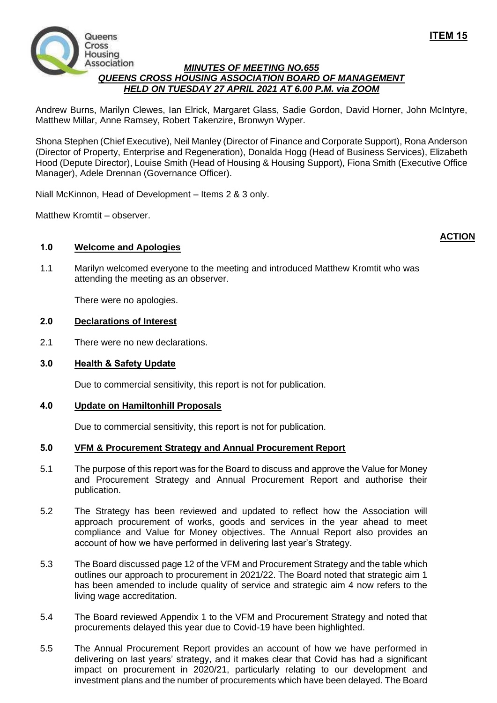

# *MINUTES OF MEETING NO.655 QUEENS CROSS HOUSING ASSOCIATION BOARD OF MANAGEMENT HELD ON TUESDAY 27 APRIL 2021 AT 6.00 P.M. via ZOOM*

Andrew Burns, Marilyn Clewes, Ian Elrick, Margaret Glass, Sadie Gordon, David Horner, John McIntyre, Matthew Millar, Anne Ramsey, Robert Takenzire, Bronwyn Wyper.

Shona Stephen (Chief Executive), Neil Manley (Director of Finance and Corporate Support), Rona Anderson (Director of Property, Enterprise and Regeneration), Donalda Hogg (Head of Business Services), Elizabeth Hood (Depute Director), Louise Smith (Head of Housing & Housing Support), Fiona Smith (Executive Office Manager), Adele Drennan (Governance Officer).

Niall McKinnon, Head of Development – Items 2 & 3 only.

Matthew Kromtit – observer.

# **1.0 Welcome and Apologies**

1.1 Marilyn welcomed everyone to the meeting and introduced Matthew Kromtit who was attending the meeting as an observer.

There were no apologies.

#### **2.0 Declarations of Interest**

2.1 There were no new declarations.

## **3.0 Health & Safety Update**

Due to commercial sensitivity, this report is not for publication.

#### **4.0 Update on Hamiltonhill Proposals**

Due to commercial sensitivity, this report is not for publication.

#### **5.0 VFM & Procurement Strategy and Annual Procurement Report**

- 5.1 The purpose of this report was for the Board to discuss and approve the Value for Money and Procurement Strategy and Annual Procurement Report and authorise their publication.
- 5.2 The Strategy has been reviewed and updated to reflect how the Association will approach procurement of works, goods and services in the year ahead to meet compliance and Value for Money objectives. The Annual Report also provides an account of how we have performed in delivering last year's Strategy.
- 5.3 The Board discussed page 12 of the VFM and Procurement Strategy and the table which outlines our approach to procurement in 2021/22. The Board noted that strategic aim 1 has been amended to include quality of service and strategic aim 4 now refers to the living wage accreditation.
- 5.4 The Board reviewed Appendix 1 to the VFM and Procurement Strategy and noted that procurements delayed this year due to Covid-19 have been highlighted.
- 5.5 The Annual Procurement Report provides an account of how we have performed in delivering on last years' strategy, and it makes clear that Covid has had a significant impact on procurement in 2020/21, particularly relating to our development and investment plans and the number of procurements which have been delayed. The Board

## **ACTION**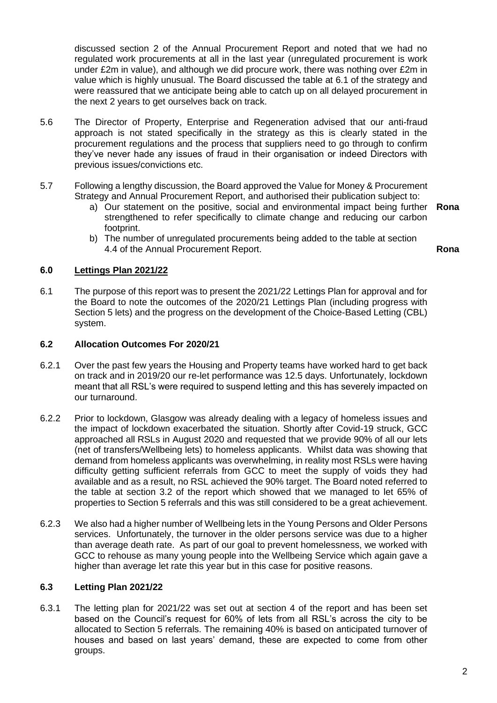discussed section 2 of the Annual Procurement Report and noted that we had no regulated work procurements at all in the last year (unregulated procurement is work under £2m in value), and although we did procure work, there was nothing over £2m in value which is highly unusual. The Board discussed the table at 6.1 of the strategy and were reassured that we anticipate being able to catch up on all delayed procurement in the next 2 years to get ourselves back on track.

- 5.6 The Director of Property, Enterprise and Regeneration advised that our anti-fraud approach is not stated specifically in the strategy as this is clearly stated in the procurement regulations and the process that suppliers need to go through to confirm they've never hade any issues of fraud in their organisation or indeed Directors with previous issues/convictions etc.
- 5.7 Following a lengthy discussion, the Board approved the Value for Money & Procurement Strategy and Annual Procurement Report, and authorised their publication subject to:
	- a) Our statement on the positive, social and environmental impact being further **Rona** strengthened to refer specifically to climate change and reducing our carbon footprint.
	- b) The number of unregulated procurements being added to the table at section 4.4 of the Annual Procurement Report.

**Rona**

# **6.0 Lettings Plan 2021/22**

6.1 The purpose of this report was to present the 2021/22 Lettings Plan for approval and for the Board to note the outcomes of the 2020/21 Lettings Plan (including progress with Section 5 lets) and the progress on the development of the Choice-Based Letting (CBL) system.

## **6.2 Allocation Outcomes For 2020/21**

- 6.2.1 Over the past few years the Housing and Property teams have worked hard to get back on track and in 2019/20 our re-let performance was 12.5 days. Unfortunately, lockdown meant that all RSL's were required to suspend letting and this has severely impacted on our turnaround.
- 6.2.2 Prior to lockdown, Glasgow was already dealing with a legacy of homeless issues and the impact of lockdown exacerbated the situation. Shortly after Covid-19 struck, GCC approached all RSLs in August 2020 and requested that we provide 90% of all our lets (net of transfers/Wellbeing lets) to homeless applicants. Whilst data was showing that demand from homeless applicants was overwhelming, in reality most RSLs were having difficulty getting sufficient referrals from GCC to meet the supply of voids they had available and as a result, no RSL achieved the 90% target. The Board noted referred to the table at section 3.2 of the report which showed that we managed to let 65% of properties to Section 5 referrals and this was still considered to be a great achievement.
- 6.2.3 We also had a higher number of Wellbeing lets in the Young Persons and Older Persons services. Unfortunately, the turnover in the older persons service was due to a higher than average death rate. As part of our goal to prevent homelessness, we worked with GCC to rehouse as many young people into the Wellbeing Service which again gave a higher than average let rate this year but in this case for positive reasons.

## **6.3 Letting Plan 2021/22**

6.3.1 The letting plan for 2021/22 was set out at section 4 of the report and has been set based on the Council's request for 60% of lets from all RSL's across the city to be allocated to Section 5 referrals. The remaining 40% is based on anticipated turnover of houses and based on last years' demand, these are expected to come from other groups.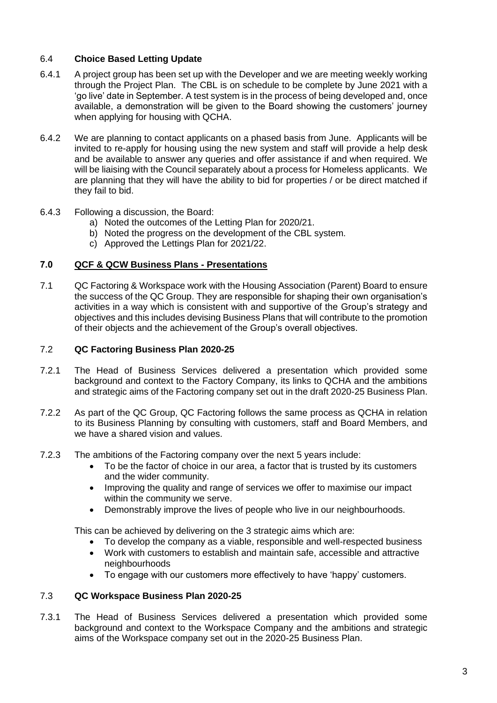# 6.4 **Choice Based Letting Update**

- 6.4.1 A project group has been set up with the Developer and we are meeting weekly working through the Project Plan. The CBL is on schedule to be complete by June 2021 with a 'go live' date in September. A test system is in the process of being developed and, once available, a demonstration will be given to the Board showing the customers' journey when applying for housing with QCHA.
- 6.4.2 We are planning to contact applicants on a phased basis from June. Applicants will be invited to re-apply for housing using the new system and staff will provide a help desk and be available to answer any queries and offer assistance if and when required. We will be liaising with the Council separately about a process for Homeless applicants. We are planning that they will have the ability to bid for properties / or be direct matched if they fail to bid.
- 6.4.3 Following a discussion, the Board:
	- a) Noted the outcomes of the Letting Plan for 2020/21.
	- b) Noted the progress on the development of the CBL system.
	- c) Approved the Lettings Plan for 2021/22.

## **7.0 QCF & QCW Business Plans - Presentations**

7.1 QC Factoring & Workspace work with the Housing Association (Parent) Board to ensure the success of the QC Group. They are responsible for shaping their own organisation's activities in a way which is consistent with and supportive of the Group's strategy and objectives and this includes devising Business Plans that will contribute to the promotion of their objects and the achievement of the Group's overall objectives.

## 7.2 **QC Factoring Business Plan 2020-25**

- 7.2.1 The Head of Business Services delivered a presentation which provided some background and context to the Factory Company, its links to QCHA and the ambitions and strategic aims of the Factoring company set out in the draft 2020-25 Business Plan.
- 7.2.2 As part of the QC Group, QC Factoring follows the same process as QCHA in relation to its Business Planning by consulting with customers, staff and Board Members, and we have a shared vision and values.
- 7.2.3 The ambitions of the Factoring company over the next 5 years include:
	- To be the factor of choice in our area, a factor that is trusted by its customers and the wider community.
	- Improving the quality and range of services we offer to maximise our impact within the community we serve.
	- Demonstrably improve the lives of people who live in our neighbourhoods.

This can be achieved by delivering on the 3 strategic aims which are:

- To develop the company as a viable, responsible and well-respected business
- Work with customers to establish and maintain safe, accessible and attractive neighbourhoods
- To engage with our customers more effectively to have 'happy' customers.

# 7.3 **QC Workspace Business Plan 2020-25**

7.3.1 The Head of Business Services delivered a presentation which provided some background and context to the Workspace Company and the ambitions and strategic aims of the Workspace company set out in the 2020-25 Business Plan.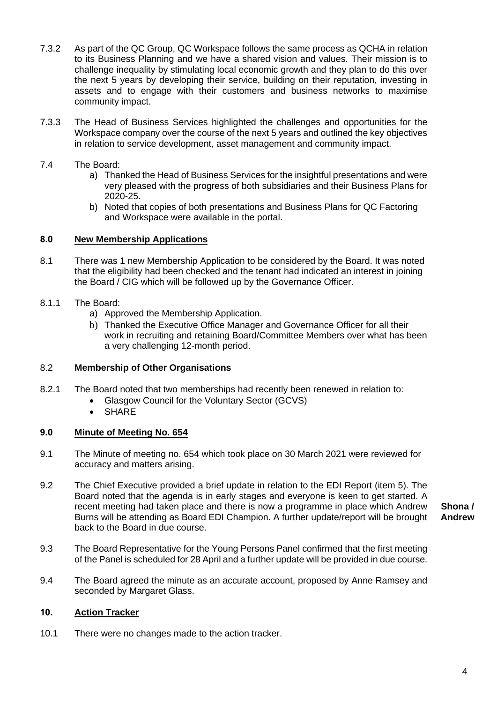- 7.3.2 As part of the QC Group, QC Workspace follows the same process as QCHA in relation to its Business Planning and we have a shared vision and values. Their mission is to challenge inequality by stimulating local economic growth and they plan to do this over the next 5 years by developing their service, building on their reputation, investing in assets and to engage with their customers and business networks to maximise community impact.
- 7.3.3 The Head of Business Services highlighted the challenges and opportunities for the Workspace company over the course of the next 5 years and outlined the key objectives in relation to service development, asset management and community impact.
- 7.4 The Board:
	- a) Thanked the Head of Business Services for the insightful presentations and were very pleased with the progress of both subsidiaries and their Business Plans for 2020-25.
	- b) Noted that copies of both presentations and Business Plans for QC Factoring and Workspace were available in the portal.

## **8.0 New Membership Applications**

- 8.1 There was 1 new Membership Application to be considered by the Board. It was noted that the eligibility had been checked and the tenant had indicated an interest in joining the Board / CIG which will be followed up by the Governance Officer.
- 8.1.1 The Board:
	- a) Approved the Membership Application.
	- b) Thanked the Executive Office Manager and Governance Officer for all their work in recruiting and retaining Board/Committee Members over what has been a very challenging 12-month period.

## 8.2 **Membership of Other Organisations**

- 8.2.1 The Board noted that two memberships had recently been renewed in relation to:
	- Glasgow Council for the Voluntary Sector (GCVS)
	- **SHARE**

#### **9.0 Minute of Meeting No. 654**

- 9.1 The Minute of meeting no. 654 which took place on 30 March 2021 were reviewed for accuracy and matters arising.
- 9.2 The Chief Executive provided a brief update in relation to the EDI Report (item 5). The Board noted that the agenda is in early stages and everyone is keen to get started. A recent meeting had taken place and there is now a programme in place which Andrew Burns will be attending as Board EDI Champion. A further update/report will be brought back to the Board in due course.
- 9.3 The Board Representative for the Young Persons Panel confirmed that the first meeting of the Panel is scheduled for 28 April and a further update will be provided in due course.
- 9.4 The Board agreed the minute as an accurate account, proposed by Anne Ramsey and seconded by Margaret Glass.

#### **10. Action Tracker**

10.1 There were no changes made to the action tracker.

**Shona /**